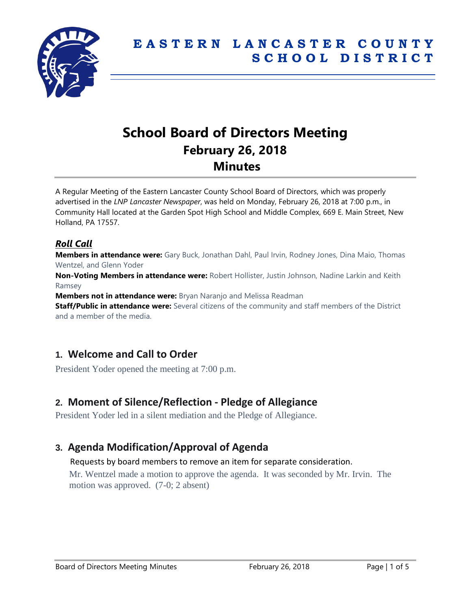

# **School Board of Directors Meeting February 26, 2018 Minutes**

A Regular Meeting of the Eastern Lancaster County School Board of Directors, which was properly advertised in the *LNP Lancaster Newspaper*, was held on Monday, February 26, 2018 at 7:00 p.m., in Community Hall located at the Garden Spot High School and Middle Complex, 669 E. Main Street, New Holland, PA 17557.

### *Roll Call*

**Members in attendance were:** Gary Buck, Jonathan Dahl, Paul Irvin, Rodney Jones, Dina Maio, Thomas Wentzel, and Glenn Yoder

**Non-Voting Members in attendance were:** Robert Hollister, Justin Johnson, Nadine Larkin and Keith Ramsey

**Members not in attendance were:** Bryan Naranjo and Melissa Readman

**Staff/Public in attendance were:** Several citizens of the community and staff members of the District and a member of the media.

# **1. Welcome and Call to Order**

President Yoder opened the meeting at 7:00 p.m.

# **2. Moment of Silence/Reflection - Pledge of Allegiance**

President Yoder led in a silent mediation and the Pledge of Allegiance.

# **3. Agenda Modification/Approval of Agenda**

#### Requests by board members to remove an item for separate consideration.

Mr. Wentzel made a motion to approve the agenda. It was seconded by Mr. Irvin. The motion was approved. (7-0; 2 absent)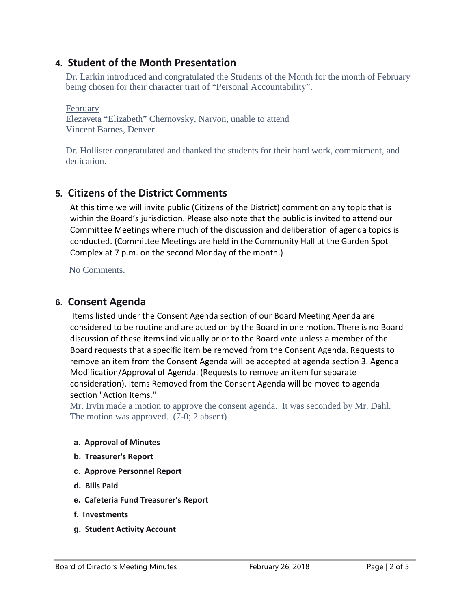### **4. Student of the Month Presentation**

Dr. Larkin introduced and congratulated the Students of the Month for the month of February being chosen for their character trait of "Personal Accountability".

February Elezaveta "Elizabeth" Chernovsky, Narvon, unable to attend Vincent Barnes, Denver

Dr. Hollister congratulated and thanked the students for their hard work, commitment, and dedication.

# **5. Citizens of the District Comments**

At this time we will invite public (Citizens of the District) comment on any topic that is within the Board's jurisdiction. Please also note that the public is invited to attend our Committee Meetings where much of the discussion and deliberation of agenda topics is conducted. (Committee Meetings are held in the Community Hall at the Garden Spot Complex at 7 p.m. on the second Monday of the month.)

No Comments.

### **6. Consent Agenda**

Items listed under the Consent Agenda section of our Board Meeting Agenda are considered to be routine and are acted on by the Board in one motion. There is no Board discussion of these items individually prior to the Board vote unless a member of the Board requests that a specific item be removed from the Consent Agenda. Requests to remove an item from the Consent Agenda will be accepted at agenda section 3. Agenda Modification/Approval of Agenda. (Requests to remove an item for separate consideration). Items Removed from the Consent Agenda will be moved to agenda section "Action Items."

Mr. Irvin made a motion to approve the consent agenda. It was seconded by Mr. Dahl. The motion was approved. (7-0; 2 absent)

#### **a. Approval of Minutes**

- **b. Treasurer's Report**
- **c. Approve Personnel Report**
- **d. Bills Paid**
- **e. Cafeteria Fund Treasurer's Report**
- **f. Investments**
- **g. Student Activity Account**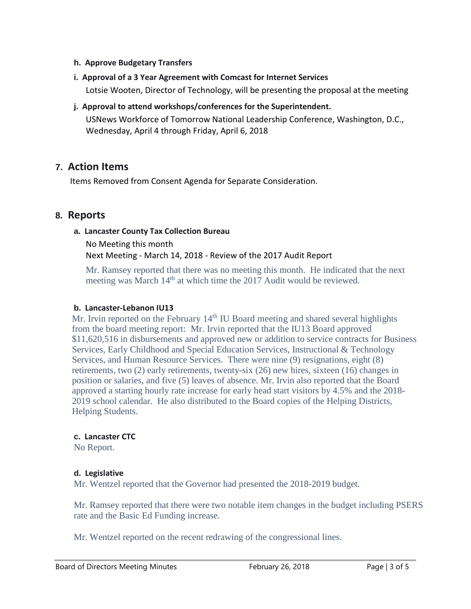#### **h. Approve Budgetary Transfers**

- **i. Approval of a 3 Year Agreement with Comcast for Internet Services** Lotsie Wooten, Director of Technology, will be presenting the proposal at the meeting
- **j. Approval to attend workshops/conferences for the Superintendent.** USNews Workforce of Tomorrow National Leadership Conference, Washington, D.C., Wednesday, April 4 through Friday, April 6, 2018

### **7. Action Items**

Items Removed from Consent Agenda for Separate Consideration.

### **8. Reports**

#### **a. Lancaster County Tax Collection Bureau**

No Meeting this month Next Meeting - March 14, 2018 - Review of the 2017 Audit Report

Mr. Ramsey reported that there was no meeting this month. He indicated that the next meeting was March 14<sup>th</sup> at which time the 2017 Audit would be reviewed.

#### **b. Lancaster-Lebanon IU13**

Mr. Irvin reported on the February  $14<sup>th</sup>$  IU Board meeting and shared several highlights from the board meeting report: Mr. Irvin reported that the IU13 Board approved \$11,620,516 in disbursements and approved new or addition to service contracts for Business Services, Early Childhood and Special Education Services, Instructional & Technology Services, and Human Resource Services. There were nine (9) resignations, eight (8) retirements, two (2) early retirements, twenty-six (26) new hires, sixteen (16) changes in position or salaries, and five (5) leaves of absence. Mr. Irvin also reported that the Board approved a starting hourly rate increase for early head start visitors by 4.5% and the 2018- 2019 school calendar. He also distributed to the Board copies of the Helping Districts, Helping Students.

#### **c. Lancaster CTC**

No Report.

#### **d. Legislative**

Mr. Wentzel reported that the Governor had presented the 2018-2019 budget.

Mr. Ramsey reported that there were two notable item changes in the budget including PSERS rate and the Basic Ed Funding increase.

Mr. Wentzel reported on the recent redrawing of the congressional lines.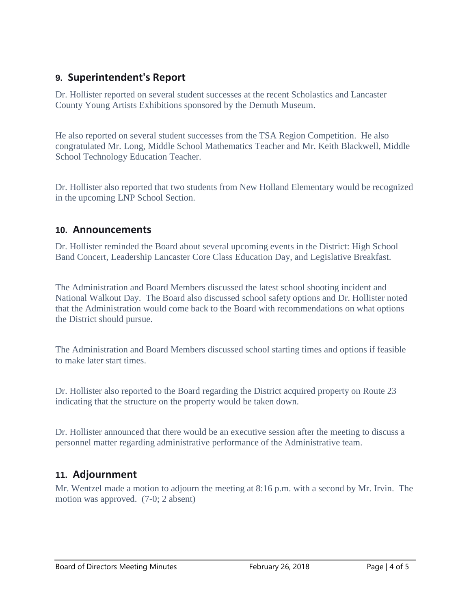# **9. Superintendent's Report**

Dr. Hollister reported on several student successes at the recent Scholastics and Lancaster County Young Artists Exhibitions sponsored by the Demuth Museum.

He also reported on several student successes from the TSA Region Competition. He also congratulated Mr. Long, Middle School Mathematics Teacher and Mr. Keith Blackwell, Middle School Technology Education Teacher.

Dr. Hollister also reported that two students from New Holland Elementary would be recognized in the upcoming LNP School Section.

### **10. Announcements**

Dr. Hollister reminded the Board about several upcoming events in the District: High School Band Concert, Leadership Lancaster Core Class Education Day, and Legislative Breakfast.

The Administration and Board Members discussed the latest school shooting incident and National Walkout Day. The Board also discussed school safety options and Dr. Hollister noted that the Administration would come back to the Board with recommendations on what options the District should pursue.

The Administration and Board Members discussed school starting times and options if feasible to make later start times.

Dr. Hollister also reported to the Board regarding the District acquired property on Route 23 indicating that the structure on the property would be taken down.

Dr. Hollister announced that there would be an executive session after the meeting to discuss a personnel matter regarding administrative performance of the Administrative team.

# **11. Adjournment**

Mr. Wentzel made a motion to adjourn the meeting at 8:16 p.m. with a second by Mr. Irvin. The motion was approved. (7-0; 2 absent)